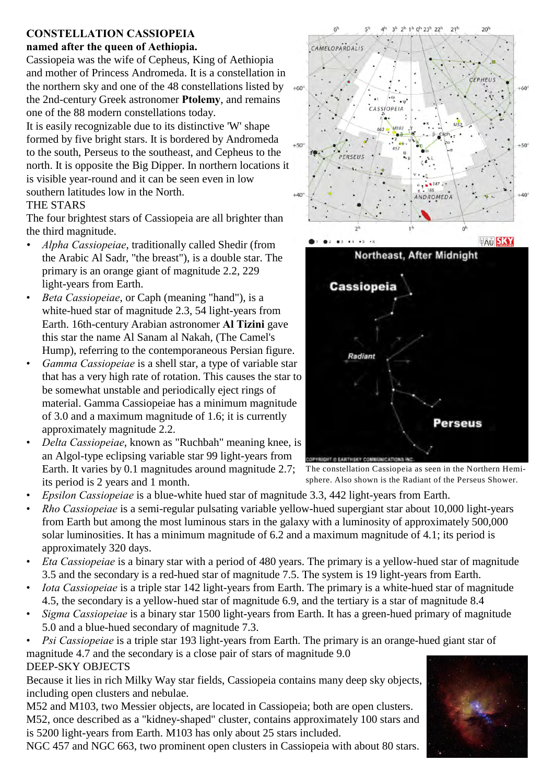# **CONSTELLATION CASSIOPEIA**

#### **named after the queen of Aethiopia.**

Cassiopeia was the wife of Cepheus, King of Aethiopia and mother of Princess Andromeda. It is a constellation in the northern sky and one of the 48 constellations listed by the 2nd-century Greek astronomer **Ptolemy**, and remains one of the 88 modern constellations today.

It is easily recognizable due to its distinctive 'W' shape formed by five bright stars. It is bordered by Andromeda to the south, Perseus to the southeast, and Cepheus to the north. It is opposite the Big Dipper. In northern locations it is visible year-round and it can be seen even in low southern latitudes low in the North.

### THE STARS

The four brightest stars of Cassiopeia are all brighter than the third magnitude.

- *Alpha Cassiopeiae*, traditionally called Shedir (from the Arabic Al Sadr, "the breast"), is a double star. The primary is an orange giant of magnitude 2.2, 229 light-years from Earth.
- *Beta Cassiopeiae*, or Caph (meaning "hand"), is a white-hued star of magnitude 2.3, 54 light-years from Earth. 16th-century Arabian astronomer **Al Tizini** gave this star the name Al Sanam al Nakah, (The Camel's Hump), referring to the contemporaneous Persian figure.
- *Gamma Cassiopeiae* is a shell star, a type of variable star that has a very high rate of rotation. This causes the star to be somewhat unstable and periodically eject rings of material. Gamma Cassiopeiae has a minimum magnitude of 3.0 and a maximum magnitude of 1.6; it is currently approximately magnitude 2.2.
- *Delta Cassiopeiae*, known as "Ruchbah" meaning knee, is an Algol-type eclipsing variable star 99 light-years from Earth. It varies by 0.1 magnitudes around magnitude 2.7; its period is 2 years and 1 month.
- *Epsilon Cassiopeiae* is a blue-white hued star of magnitude 3.3, 442 light-years from Earth.
- *Rho Cassiopeiae* is a semi-regular pulsating variable yellow-hued supergiant star about 10,000 light-years from Earth but among the most luminous stars in the galaxy with a luminosity of approximately 500,000 solar luminosities. It has a minimum magnitude of 6.2 and a maximum magnitude of 4.1; its period is approximately 320 days.
- *Eta Cassiopeiae* is a binary star with a period of 480 years. The primary is a yellow-hued star of magnitude 3.5 and the secondary is a red-hued star of magnitude 7.5. The system is 19 light-years from Earth.
- *Iota Cassiopeiae* is a triple star 142 light-years from Earth. The primary is a white-hued star of magnitude 4.5, the secondary is a yellow-hued star of magnitude 6.9, and the tertiary is a star of magnitude 8.4
- *Sigma Cassiopeiae* is a binary star 1500 light-years from Earth. It has a green-hued primary of magnitude 5.0 and a blue-hued secondary of magnitude 7.3.
- *Psi Cassiopeiae* is a triple star 193 light-years from Earth. The primary is an orange-hued giant star of magnitude 4.7 and the secondary is a close pair of stars of magnitude 9.0

## DEEP-SKY OBJECTS

Because it lies in rich Milky Way star fields, Cassiopeia contains many deep sky objects, including open clusters and nebulae.

M52 and M103, two Messier objects, are located in Cassiopeia; both are open clusters. M52, once described as a "kidney-shaped" cluster, contains approximately 100 stars and is 5200 light-years from Earth. M103 has only about 25 stars included.

NGC 457 and NGC 663, two prominent open clusters in Cassiopeia with about 80 stars.

 $147$ ANDROMEDA  $+40$  $\mathbf{z}$ **TAU SKY** 02 03 14  $\bullet$ Northeast, After Midnight **Cassiopeia** Radiant **Perseus** 

2h 1h 0h 23h 22h

CASSIOPEIA

CEPHELIS

 $+60$ 

 $+50$ 

κł

CAMELOPARDALIS

 $+60$ 

 $+50$ 

 $+40$ 

The constellation Cassiopeia as seen in the Northern Hemisphere. Also shown is the Radiant of the Perseus Shower.

**SPYRIGHT O FARTHSRY COMMINDEATIONS**